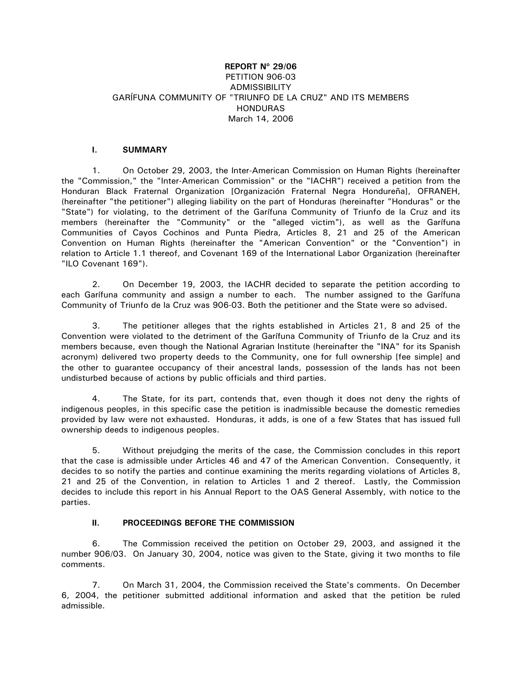## **REPORT Nº 29/06**  PETITION 906-03 **ADMISSIBILITY** GARÍFUNA COMMUNITY OF "TRIUNFO DE LA CRUZ" AND ITS MEMBERS HONDURAS March 14, 2006

### **I. SUMMARY**

1. On October 29, 2003, the Inter-American Commission on Human Rights (hereinafter the "Commission," the "Inter-American Commission" or the "IACHR") received a petition from the Honduran Black Fraternal Organization [Organización Fraternal Negra Hondureña], OFRANEH, (hereinafter "the petitioner") alleging liability on the part of Honduras (hereinafter "Honduras" or the "State") for violating, to the detriment of the Garífuna Community of Triunfo de la Cruz and its members (hereinafter the "Community" or the "alleged victim"), as well as the Garífuna Communities of Cayos Cochinos and Punta Piedra, Articles 8, 21 and 25 of the American Convention on Human Rights (hereinafter the "American Convention" or the "Convention") in relation to Article 1.1 thereof, and Covenant 169 of the International Labor Organization (hereinafter "ILO Covenant 169").

2. On December 19, 2003, the IACHR decided to separate the petition according to each Garífuna community and assign a number to each. The number assigned to the Garífuna Community of Triunfo de la Cruz was 906-03. Both the petitioner and the State were so advised.

3. The petitioner alleges that the rights established in Articles 21, 8 and 25 of the Convention were violated to the detriment of the Garífuna Community of Triunfo de la Cruz and its members because, even though the National Agrarian Institute (hereinafter the "INA" for its Spanish acronym) delivered two property deeds to the Community, one for full ownership [fee simple] and the other to guarantee occupancy of their ancestral lands, possession of the lands has not been undisturbed because of actions by public officials and third parties.

4. The State, for its part, contends that, even though it does not deny the rights of indigenous peoples, in this specific case the petition is inadmissible because the domestic remedies provided by law were not exhausted. Honduras, it adds, is one of a few States that has issued full ownership deeds to indigenous peoples.

5. Without prejudging the merits of the case, the Commission concludes in this report that the case is admissible under Articles 46 and 47 of the American Convention. Consequently, it decides to so notify the parties and continue examining the merits regarding violations of Articles 8, 21 and 25 of the Convention, in relation to Articles 1 and 2 thereof. Lastly, the Commission decides to include this report in his Annual Report to the OAS General Assembly, with notice to the parties.

# **II. PROCEEDINGS BEFORE THE COMMISSION**

6. The Commission received the petition on October 29, 2003, and assigned it the number 906/03. On January 30, 2004, notice was given to the State, giving it two months to file comments.

7. On March 31, 2004, the Commission received the State's comments. On December 6, 2004, the petitioner submitted additional information and asked that the petition be ruled admissible.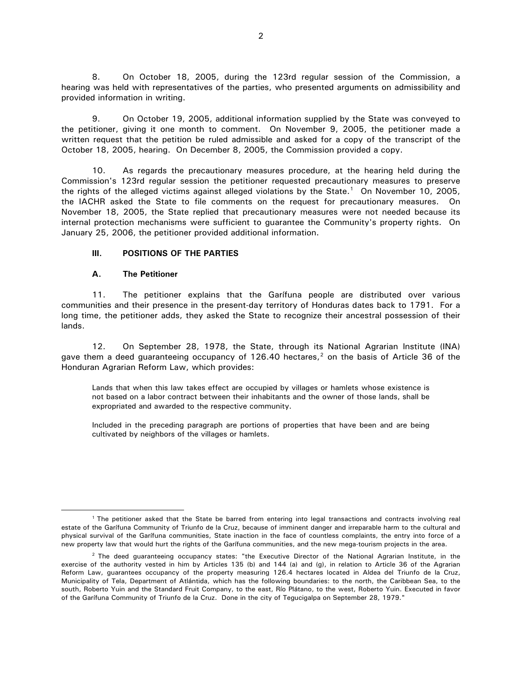8. On October 18, 2005, during the 123rd regular session of the Commission, a hearing was held with representatives of the parties, who presented arguments on admissibility and provided information in writing.

9. On October 19, 2005, additional information supplied by the State was conveyed to the petitioner, giving it one month to comment. On November 9, 2005, the petitioner made a written request that the petition be ruled admissible and asked for a copy of the transcript of the October 18, 2005, hearing. On December 8, 2005, the Commission provided a copy.

10. As regards the precautionary measures procedure, at the hearing held during the Commission's 123rd regular session the petitioner requested precautionary measures to preserve the rights of the alleged victims against alleged violations by the State.<sup>[1](#page-1-0)</sup> On November 10, 2005, the IACHR asked the State to file comments on the request for precautionary measures. On November 18, 2005, the State replied that precautionary measures were not needed because its internal protection mechanisms were sufficient to guarantee the Community's property rights. On January 25, 2006, the petitioner provided additional information.

### **III. POSITIONS OF THE PARTIES**

### **A. The Petitioner**

 $\overline{a}$ 

11. The petitioner explains that the Garífuna people are distributed over various communities and their presence in the present-day territory of Honduras dates back to 1791. For a long time, the petitioner adds, they asked the State to recognize their ancestral possession of their lands.

12. On September 28, 1978, the State, through its National Agrarian Institute (INA) gave them a deed guaranteeing occupancy of 1[2](#page-1-1)6.40 hectares, $<sup>2</sup>$  on the basis of Article 36 of the</sup> Honduran Agrarian Reform Law, which provides:

Lands that when this law takes effect are occupied by villages or hamlets whose existence is not based on a labor contract between their inhabitants and the owner of those lands, shall be expropriated and awarded to the respective community.

Included in the preceding paragraph are portions of properties that have been and are being cultivated by neighbors of the villages or hamlets.

<span id="page-1-0"></span><sup>1</sup> The petitioner asked that the State be barred from entering into legal transactions and contracts involving real estate of the Garífuna Community of Triunfo de la Cruz, because of imminent danger and irreparable harm to the cultural and physical survival of the Garífuna communities, State inaction in the face of countless complaints, the entry into force of a new property law that would hurt the rights of the Garífuna communities, and the new mega-tourism projects in the area.

<span id="page-1-1"></span> $2$  The deed guaranteeing occupancy states: "the Executive Director of the National Agrarian Institute, in the exercise of the authority vested in him by Articles 135 (b) and 144 (a) and (g), in relation to Article 36 of the Agrarian Reform Law, guarantees occupancy of the property measuring 126.4 hectares located in Aldea del Triunfo de la Cruz, Municipality of Tela, Department of Atlántida, which has the following boundaries: to the north, the Caribbean Sea, to the south, Roberto Yuin and the Standard Fruit Company, to the east, Río Plátano, to the west, Roberto Yuin. Executed in favor of the Garífuna Community of Triunfo de la Cruz. Done in the city of Tegucigalpa on September 28, 1979."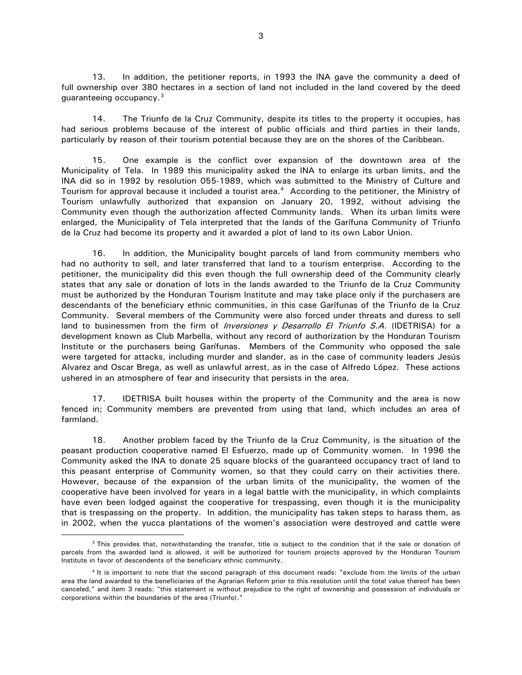13. In addition, the petitioner reports, in 1993 the INA gave the community a deed of full ownership over 380 hectares in a section of land not included in the land covered by the deed guaranteeing occupancy.[3](#page-2-0)

14. The Triunfo de la Cruz Community, despite its titles to the property it occupies, has had serious problems because of the interest of public officials and third parties in their lands, particularly by reason of their tourism potential because they are on the shores of the Caribbean.

15. One example is the conflict over expansion of the downtown area of the Municipality of Tela. In 1989 this municipality asked the INA to enlarge its urban limits, and the INA did so in 1992 by resolution 055-1989, which was submitted to the Ministry of Culture and Tourism for approval because it included a tourist area.[4](#page-2-1) According to the petitioner, the Ministry of Tourism unlawfully authorized that expansion on January 20, 1992, without advising the Community even though the authorization affected Community lands. When its urban limits were enlarged, the Municipality of Tela interpreted that the lands of the Garífuna Community of Triunfo de la Cruz had become its property and it awarded a plot of land to its own Labor Union.

16. In addition, the Municipality bought parcels of land from community members who had no authority to sell, and later transferred that land to a tourism enterprise. According to the petitioner, the municipality did this even though the full ownership deed of the Community clearly states that any sale or donation of lots in the lands awarded to the Triunfo de la Cruz Community must be authorized by the Honduran Tourism Institute and may take place only if the purchasers are descendants of the beneficiary ethnic communities, in this case Garífunas of the Triunfo de la Cruz Community. Several members of the Community were also forced under threats and duress to sell land to businessmen from the firm of *Inversiones y Desarrollo El Triunfo S.A.* (IDETRISA) for a development known as Club Marbella, without any record of authorization by the Honduran Tourism Institute or the purchasers being Garífunas. Members of the Community who opposed the sale were targeted for attacks, including murder and slander, as in the case of community leaders Jesús Alvarez and Oscar Brega, as well as unlawful arrest, as in the case of Alfredo López. These actions ushered in an atmosphere of fear and insecurity that persists in the area.

17. IDETRISA built houses within the property of the Community and the area is now fenced in; Community members are prevented from using that land, which includes an area of farmland.

18. Another problem faced by the Triunfo de la Cruz Community, is the situation of the peasant production cooperative named El Esfuerzo, made up of Community women. In 1996 the Community asked the INA to donate 25 square blocks of the guaranteed occupancy tract of land to this peasant enterprise of Community women, so that they could carry on their activities there. However, because of the expansion of the urban limits of the municipality, the women of the cooperative have been involved for years in a legal battle with the municipality, in which complaints have even been lodged against the cooperative for trespassing, even though it is the municipality that is trespassing on the property. In addition, the municipality has taken steps to harass them, as in 2002, when the yucca plantations of the women's association were destroyed and cattle were

<span id="page-2-0"></span><sup>&</sup>lt;sup>3</sup> This provides that, notwithstanding the transfer, title is subject to the condition that if the sale or donation of parcels from the awarded land is allowed, it will be authorized for tourism projects approved by the Honduran Tourism Institute in favor of descendents of the beneficiary ethnic community.

<span id="page-2-1"></span><sup>4</sup> It is important to note that the second paragraph of this document reads: "exclude from the limits of the urban area the land awarded to the beneficiaries of the Agrarian Reform prior to this resolution until the total value thereof has been canceled," and item 3 reads: "this statement is without prejudice to the right of ownership and possession of individuals or corporations within the boundaries of the area (Triunfo)."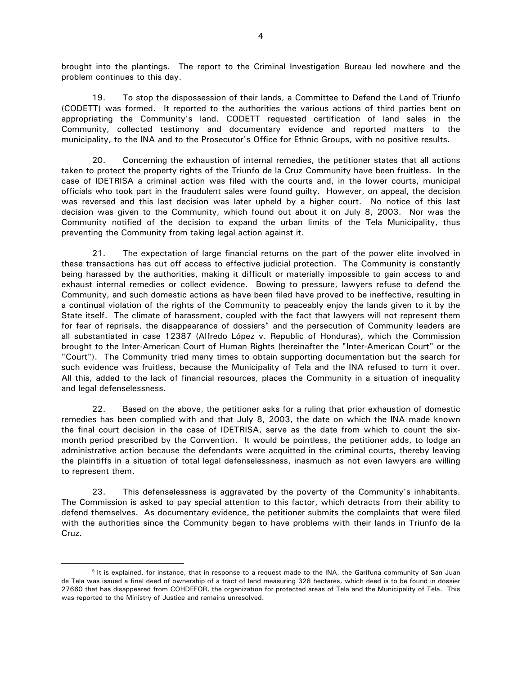brought into the plantings. The report to the Criminal Investigation Bureau led nowhere and the problem continues to this day.

19. To stop the dispossession of their lands, a Committee to Defend the Land of Triunfo (CODETT) was formed. It reported to the authorities the various actions of third parties bent on appropriating the Community's land. CODETT requested certification of land sales in the Community, collected testimony and documentary evidence and reported matters to the municipality, to the INA and to the Prosecutor's Office for Ethnic Groups, with no positive results.

20. Concerning the exhaustion of internal remedies, the petitioner states that all actions taken to protect the property rights of the Triunfo de la Cruz Community have been fruitless. In the case of IDETRISA a criminal action was filed with the courts and, in the lower courts, municipal officials who took part in the fraudulent sales were found guilty. However, on appeal, the decision was reversed and this last decision was later upheld by a higher court. No notice of this last decision was given to the Community, which found out about it on July 8, 2003. Nor was the Community notified of the decision to expand the urban limits of the Tela Municipality, thus preventing the Community from taking legal action against it.

21. The expectation of large financial returns on the part of the power elite involved in these transactions has cut off access to effective judicial protection. The Community is constantly being harassed by the authorities, making it difficult or materially impossible to gain access to and exhaust internal remedies or collect evidence. Bowing to pressure, lawyers refuse to defend the Community, and such domestic actions as have been filed have proved to be ineffective, resulting in a continual violation of the rights of the Community to peaceably enjoy the lands given to it by the State itself. The climate of harassment, coupled with the fact that lawyers will not represent them for fear of reprisals, the disappearance of dossiers<sup>[5](#page-3-0)</sup> and the persecution of Community leaders are all substantiated in case 12387 (Alfredo López v. Republic of Honduras), which the Commission brought to the Inter-American Court of Human Rights (hereinafter the "Inter-American Court" or the "Court"). The Community tried many times to obtain supporting documentation but the search for such evidence was fruitless, because the Municipality of Tela and the INA refused to turn it over. All this, added to the lack of financial resources, places the Community in a situation of inequality and legal defenselessness.

22. Based on the above, the petitioner asks for a ruling that prior exhaustion of domestic remedies has been complied with and that July 8, 2003, the date on which the INA made known the final court decision in the case of IDETRISA, serve as the date from which to count the sixmonth period prescribed by the Convention. It would be pointless, the petitioner adds, to lodge an administrative action because the defendants were acquitted in the criminal courts, thereby leaving the plaintiffs in a situation of total legal defenselessness, inasmuch as not even lawyers are willing to represent them.

23. This defenselessness is aggravated by the poverty of the Community's inhabitants. The Commission is asked to pay special attention to this factor, which detracts from their ability to defend themselves. As documentary evidence, the petitioner submits the complaints that were filed with the authorities since the Community began to have problems with their lands in Triunfo de la Cruz.

<span id="page-3-0"></span><sup>&</sup>lt;sup>5</sup> It is explained, for instance, that in response to a request made to the INA, the Garífuna community of San Juan de Tela was issued a final deed of ownership of a tract of land measuring 328 hectares, which deed is to be found in dossier 27660 that has disappeared from COHDEFOR, the organization for protected areas of Tela and the Municipality of Tela. This was reported to the Ministry of Justice and remains unresolved.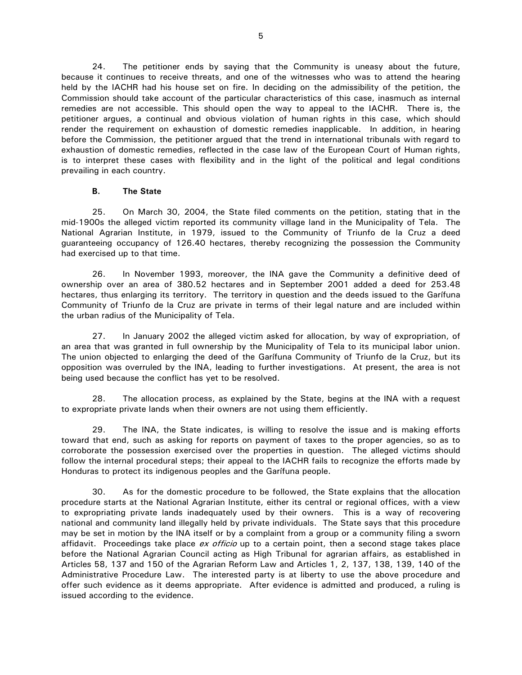24. The petitioner ends by saying that the Community is uneasy about the future, because it continues to receive threats, and one of the witnesses who was to attend the hearing held by the IACHR had his house set on fire. In deciding on the admissibility of the petition, the Commission should take account of the particular characteristics of this case, inasmuch as internal remedies are not accessible. This should open the way to appeal to the IACHR. There is, the petitioner argues, a continual and obvious violation of human rights in this case, which should render the requirement on exhaustion of domestic remedies inapplicable. In addition, in hearing before the Commission, the petitioner argued that the trend in international tribunals with regard to exhaustion of domestic remedies, reflected in the case law of the European Court of Human rights, is to interpret these cases with flexibility and in the light of the political and legal conditions prevailing in each country.

### **B. The State**

25. On March 30, 2004, the State filed comments on the petition, stating that in the mid-1900s the alleged victim reported its community village land in the Municipality of Tela. The National Agrarian Institute, in 1979, issued to the Community of Triunfo de la Cruz a deed guaranteeing occupancy of 126.40 hectares, thereby recognizing the possession the Community had exercised up to that time.

26. In November 1993, moreover, the INA gave the Community a definitive deed of ownership over an area of 380.52 hectares and in September 2001 added a deed for 253.48 hectares, thus enlarging its territory. The territory in question and the deeds issued to the Garífuna Community of Triunfo de la Cruz are private in terms of their legal nature and are included within the urban radius of the Municipality of Tela.

27. In January 2002 the alleged victim asked for allocation, by way of expropriation, of an area that was granted in full ownership by the Municipality of Tela to its municipal labor union. The union objected to enlarging the deed of the Garífuna Community of Triunfo de la Cruz, but its opposition was overruled by the INA, leading to further investigations. At present, the area is not being used because the conflict has yet to be resolved.

28. The allocation process, as explained by the State, begins at the INA with a request to expropriate private lands when their owners are not using them efficiently.

29. The INA, the State indicates, is willing to resolve the issue and is making efforts toward that end, such as asking for reports on payment of taxes to the proper agencies, so as to corroborate the possession exercised over the properties in question. The alleged victims should follow the internal procedural steps; their appeal to the IACHR fails to recognize the efforts made by Honduras to protect its indigenous peoples and the Garífuna people.

30. As for the domestic procedure to be followed, the State explains that the allocation procedure starts at the National Agrarian Institute, either its central or regional offices, with a view to expropriating private lands inadequately used by their owners. This is a way of recovering national and community land illegally held by private individuals. The State says that this procedure may be set in motion by the INA itself or by a complaint from a group or a community filing a sworn affidavit. Proceedings take place ex officio up to a certain point, then a second stage takes place before the National Agrarian Council acting as High Tribunal for agrarian affairs, as established in Articles 58, 137 and 150 of the Agrarian Reform Law and Articles 1, 2, 137, 138, 139, 140 of the Administrative Procedure Law. The interested party is at liberty to use the above procedure and offer such evidence as it deems appropriate. After evidence is admitted and produced, a ruling is issued according to the evidence.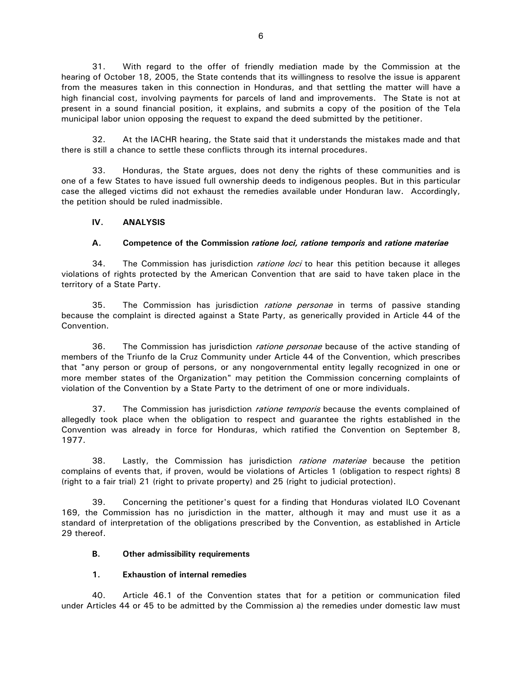31. With regard to the offer of friendly mediation made by the Commission at the hearing of October 18, 2005, the State contends that its willingness to resolve the issue is apparent from the measures taken in this connection in Honduras, and that settling the matter will have a high financial cost, involving payments for parcels of land and improvements. The State is not at present in a sound financial position, it explains, and submits a copy of the position of the Tela municipal labor union opposing the request to expand the deed submitted by the petitioner.

32. At the IACHR hearing, the State said that it understands the mistakes made and that there is still a chance to settle these conflicts through its internal procedures.

33. Honduras, the State argues, does not deny the rights of these communities and is one of a few States to have issued full ownership deeds to indigenous peoples. But in this particular case the alleged victims did not exhaust the remedies available under Honduran law. Accordingly, the petition should be ruled inadmissible.

### **IV. ANALYSIS**

# **A. Competence of the Commission** *ratione loci, ratione temporis* **and** *ratione materiae*

34. The Commission has jurisdiction *ratione loci* to hear this petition because it alleges violations of rights protected by the American Convention that are said to have taken place in the territory of a State Party.

35. The Commission has jurisdiction *ratione personae* in terms of passive standing because the complaint is directed against a State Party, as generically provided in Article 44 of the Convention.

36. The Commission has jurisdiction *ratione personae* because of the active standing of members of the Triunfo de la Cruz Community under Article 44 of the Convention, which prescribes that "any person or group of persons, or any nongovernmental entity legally recognized in one or more member states of the Organization" may petition the Commission concerning complaints of violation of the Convention by a State Party to the detriment of one or more individuals.

37. The Commission has jurisdiction *ratione temporis* because the events complained of allegedly took place when the obligation to respect and guarantee the rights established in the Convention was already in force for Honduras, which ratified the Convention on September 8, 1977.

38. Lastly, the Commission has jurisdiction *ratione materiae* because the petition complains of events that, if proven, would be violations of Articles 1 (obligation to respect rights) 8 (right to a fair trial) 21 (right to private property) and 25 (right to judicial protection).

39. Concerning the petitioner's quest for a finding that Honduras violated ILO Covenant 169, the Commission has no jurisdiction in the matter, although it may and must use it as a standard of interpretation of the obligations prescribed by the Convention, as established in Article 29 thereof.

### **B. Other admissibility requirements**

### **1. Exhaustion of internal remedies**

40. Article 46.1 of the Convention states that for a petition or communication filed under Articles 44 or 45 to be admitted by the Commission a) the remedies under domestic law must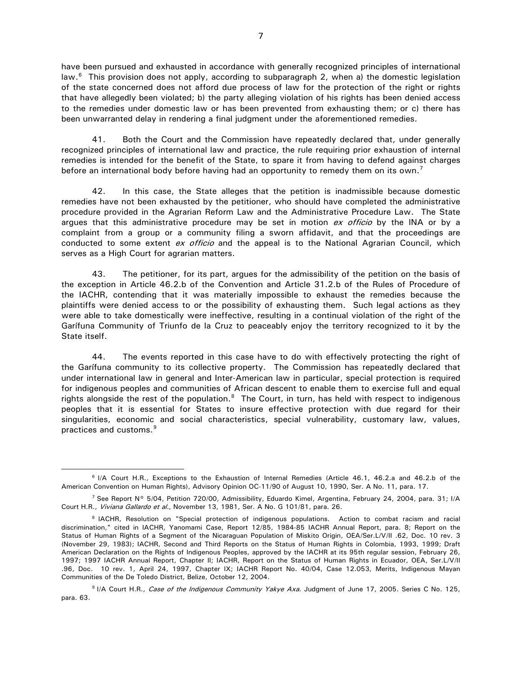have been pursued and exhausted in accordance with generally recognized principles of international law. $6$  This provision does not apply, according to subparagraph 2, when a) the domestic legislation of the state concerned does not afford due process of law for the protection of the right or rights that have allegedly been violated; b) the party alleging violation of his rights has been denied access to the remedies under domestic law or has been prevented from exhausting them; or c) there has been unwarranted delay in rendering a final judgment under the aforementioned remedies.

41. Both the Court and the Commission have repeatedly declared that, under generally recognized principles of international law and practice, the rule requiring prior exhaustion of internal remedies is intended for the benefit of the State, to spare it from having to defend against charges before an international body before having had an opportunity to remedy them on its own.<sup>[7](#page-6-1)</sup>

42. In this case, the State alleges that the petition is inadmissible because domestic remedies have not been exhausted by the petitioner, who should have completed the administrative procedure provided in the Agrarian Reform Law and the Administrative Procedure Law. The State argues that this administrative procedure may be set in motion  $ex$  officio by the INA or by a complaint from a group or a community filing a sworn affidavit, and that the proceedings are conducted to some extent ex officio and the appeal is to the National Agrarian Council, which serves as a High Court for agrarian matters.

43. The petitioner, for its part, argues for the admissibility of the petition on the basis of the exception in Article 46.2.b of the Convention and Article 31.2.b of the Rules of Procedure of the IACHR, contending that it was materially impossible to exhaust the remedies because the plaintiffs were denied access to or the possibility of exhausting them. Such legal actions as they were able to take domestically were ineffective, resulting in a continual violation of the right of the Garífuna Community of Triunfo de la Cruz to peaceably enjoy the territory recognized to it by the State itself.

44. The events reported in this case have to do with effectively protecting the right of the Garífuna community to its collective property. The Commission has repeatedly declared that under international law in general and Inter-American law in particular, special protection is required for indigenous peoples and communities of African descent to enable them to exercise full and equal rights alongside the rest of the population. $8$  The Court, in turn, has held with respect to indigenous peoples that it is essential for States to insure effective protection with due regard for their singularities, economic and social characteristics, special vulnerability, customary law, values, practices and customs.<sup>[9](#page-6-3)</sup>

<span id="page-6-0"></span><sup>6</sup> I/A Court H.R., Exceptions to the Exhaustion of Internal Remedies (Article 46.1, 46.2.a and 46.2.b of the American Convention on Human Rights), Advisory Opinion OC-11/90 of August 10, 1990, Ser. A No. 11, para. 17.

<span id="page-6-1"></span><sup>&</sup>lt;sup>7</sup> See Report N° 5/04, Petition 720/00, Admissibility, Eduardo Kimel, Argentina, February 24, 2004, para. 31; I/A Court H.R., Viviana Gallardo et al., November 13, 1981, Ser. A No. G 101/81, para. 26.

<span id="page-6-2"></span><sup>&</sup>lt;sup>8</sup> IACHR, Resolution on "Special protection of indigenous populations. Action to combat racism and racial discrimination," cited in IACHR, Yanomami Case, Report 12/85, 1984-85 IACHR Annual Report, para. 8; Report on the Status of Human Rights of a Segment of the Nicaraguan Population of Miskito Origin, OEA/Ser.L/V/II .62, Doc. 10 rev. 3 (November 29, 1983); IACHR, Second and Third Reports on the Status of Human Rights in Colombia, 1993, 1999; Draft American Declaration on the Rights of Indigenous Peoples, approved by the IACHR at its 95th regular session, February 26, 1997; 1997 IACHR Annual Report, Chapter II; IACHR, Report on the Status of Human Rights in Ecuador, OEA, Ser.L/V/II .96, Doc. 10 rev. 1, April 24, 1997, Chapter IX; IACHR Report No. 40/04, Case 12.053, Merits, Indigenous Mayan Communities of the De Toledo District, Belize, October 12, 2004.

<span id="page-6-3"></span><sup>&</sup>lt;sup>9</sup> I/A Court H.R., Case of the Indigenous Community Yakye Axa. Judgment of June 17, 2005. Series C No. 125, para. 63.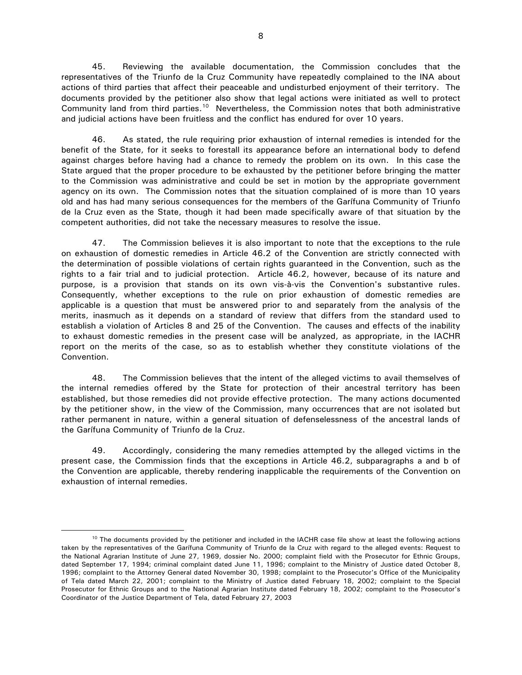45. Reviewing the available documentation, the Commission concludes that the representatives of the Triunfo de la Cruz Community have repeatedly complained to the INA about actions of third parties that affect their peaceable and undisturbed enjoyment of their territory. The documents provided by the petitioner also show that legal actions were initiated as well to protect Community land from third parties.<sup>10</sup> Nevertheless, the Commission notes that both administrative and judicial actions have been fruitless and the conflict has endured for over 10 years.

46. As stated, the rule requiring prior exhaustion of internal remedies is intended for the benefit of the State, for it seeks to forestall its appearance before an international body to defend against charges before having had a chance to remedy the problem on its own. In this case the State argued that the proper procedure to be exhausted by the petitioner before bringing the matter to the Commission was administrative and could be set in motion by the appropriate government agency on its own. The Commission notes that the situation complained of is more than 10 years old and has had many serious consequences for the members of the Garífuna Community of Triunfo de la Cruz even as the State, though it had been made specifically aware of that situation by the competent authorities, did not take the necessary measures to resolve the issue.

47. The Commission believes it is also important to note that the exceptions to the rule on exhaustion of domestic remedies in Article 46.2 of the Convention are strictly connected with the determination of possible violations of certain rights guaranteed in the Convention, such as the rights to a fair trial and to judicial protection. Article 46.2, however, because of its nature and purpose, is a provision that stands on its own vis-à-vis the Convention's substantive rules. Consequently, whether exceptions to the rule on prior exhaustion of domestic remedies are applicable is a question that must be answered prior to and separately from the analysis of the merits, inasmuch as it depends on a standard of review that differs from the standard used to establish a violation of Articles 8 and 25 of the Convention. The causes and effects of the inability to exhaust domestic remedies in the present case will be analyzed, as appropriate, in the IACHR report on the merits of the case, so as to establish whether they constitute violations of the Convention.

48. The Commission believes that the intent of the alleged victims to avail themselves of the internal remedies offered by the State for protection of their ancestral territory has been established, but those remedies did not provide effective protection. The many actions documented by the petitioner show, in the view of the Commission, many occurrences that are not isolated but rather permanent in nature, within a general situation of defenselessness of the ancestral lands of the Garífuna Community of Triunfo de la Cruz.

49. Accordingly, considering the many remedies attempted by the alleged victims in the present case, the Commission finds that the exceptions in Article 46.2, subparagraphs a and b of the Convention are applicable, thereby rendering inapplicable the requirements of the Convention on exhaustion of internal remedies.

<span id="page-7-0"></span><sup>&</sup>lt;sup>10</sup> The documents provided by the petitioner and included in the IACHR case file show at least the following actions taken by the representatives of the Garífuna Community of Triunfo de la Cruz with regard to the alleged events: Request to the National Agrarian Institute of June 27, 1969, dossier No. 2000; complaint field with the Prosecutor for Ethnic Groups, dated September 17, 1994; criminal complaint dated June 11, 1996; complaint to the Ministry of Justice dated October 8, 1996; complaint to the Attorney General dated November 30, 1998; complaint to the Prosecutor's Office of the Municipality of Tela dated March 22, 2001; complaint to the Ministry of Justice dated February 18, 2002; complaint to the Special Prosecutor for Ethnic Groups and to the National Agrarian Institute dated February 18, 2002; complaint to the Prosecutor's Coordinator of the Justice Department of Tela, dated February 27, 2003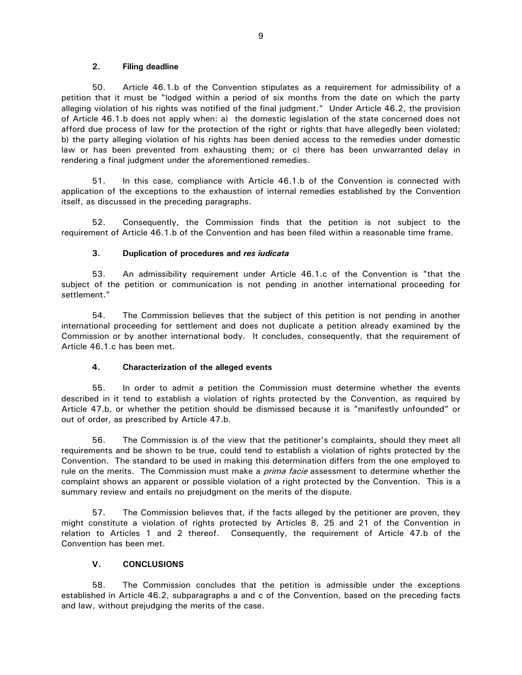#### **2. Filing deadline**

50. Article 46.1.b of the Convention stipulates as a requirement for admissibility of a petition that it must be "lodged within a period of six months from the date on which the party alleging violation of his rights was notified of the final judgment." Under Article 46.2, the provision of Article 46.1.b does not apply when: a) the domestic legislation of the state concerned does not afford due process of law for the protection of the right or rights that have allegedly been violated; b) the party alleging violation of his rights has been denied access to the remedies under domestic law or has been prevented from exhausting them; or c) there has been unwarranted delay in rendering a final judgment under the aforementioned remedies.

51. In this case, compliance with Article 46.1.b of the Convention is connected with application of the exceptions to the exhaustion of internal remedies established by the Convention itself, as discussed in the preceding paragraphs.

52. Consequently, the Commission finds that the petition is not subject to the requirement of Article 46.1.b of the Convention and has been filed within a reasonable time frame.

### **3. Duplication of procedures and** *res iudicata*

53. An admissibility requirement under Article 46.1.c of the Convention is "that the subject of the petition or communication is not pending in another international proceeding for settlement."

54. The Commission believes that the subject of this petition is not pending in another international proceeding for settlement and does not duplicate a petition already examined by the Commission or by another international body. It concludes, consequently, that the requirement of Article 46.1.c has been met.

### **4. Characterization of the alleged events**

55. In order to admit a petition the Commission must determine whether the events described in it tend to establish a violation of rights protected by the Convention, as required by Article 47.b, or whether the petition should be dismissed because it is "manifestly unfounded" or out of order, as prescribed by Article 47.b.

56. The Commission is of the view that the petitioner's complaints, should they meet all requirements and be shown to be true, could tend to establish a violation of rights protected by the Convention. The standard to be used in making this determination differs from the one employed to rule on the merits. The Commission must make a *prima facie* assessment to determine whether the complaint shows an apparent or possible violation of a right protected by the Convention. This is a summary review and entails no prejudgment on the merits of the dispute.

57. The Commission believes that, if the facts alleged by the petitioner are proven, they might constitute a violation of rights protected by Articles 8, 25 and 21 of the Convention in relation to Articles 1 and 2 thereof. Consequently, the requirement of Article 47.b of the Convention has been met.

### **V. CONCLUSIONS**

58. The Commission concludes that the petition is admissible under the exceptions established in Article 46.2, subparagraphs a and c of the Convention, based on the preceding facts and law, without prejudging the merits of the case.